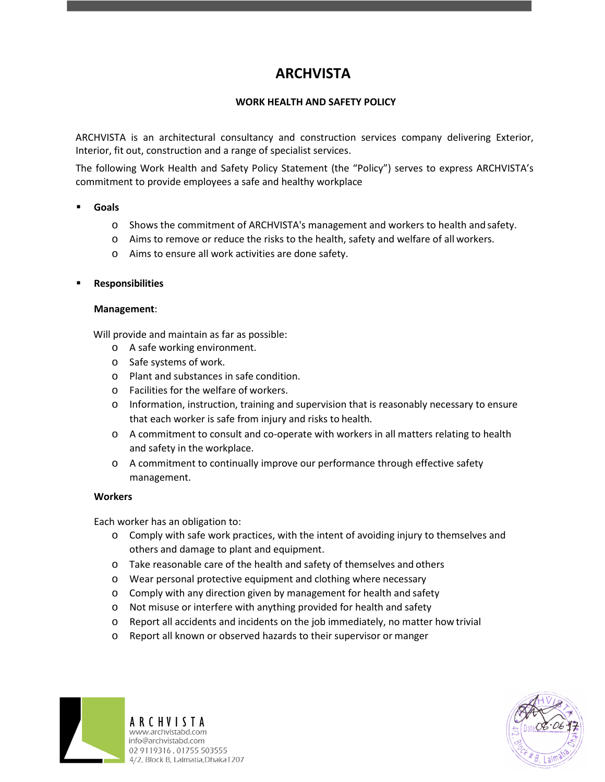# **ARCHVISTA**

## **WORK HEALTH AND SAFETY POLICY**

ARCHVISTA is an architectural consultancy and construction services company delivering Exterior, Interior, fit out, construction and a range of specialist services.

The following Work Health and Safety Policy Statement (the "Policy") serves to express ARCHVISTA's commitment to provide employees a safe and healthy workplace

- **Goals**
	- o Shows the commitment of ARCHVISTA's management and workers to health and safety.
	- o Aims to remove or reduce the risks to the health, safety and welfare of all workers.
	- o Aims to ensure all work activities are done safety.
- **Responsibilities**

#### **Management**:

Will provide and maintain as far as possible:

- o A safe working environment.
- o Safe systems of work.
- o Plant and substances in safe condition.
- o Facilities for the welfare of workers.
- o Information, instruction, training and supervision that is reasonably necessary to ensure that each worker is safe from injury and risks to health.
- o A commitment to consult and co-operate with workers in all matters relating to health and safety in the workplace.
- o A commitment to continually improve our performance through effective safety management.

## **Workers**

Each worker has an obligation to:

- o Comply with safe work practices, with the intent of avoiding injury to themselves and others and damage to plant and equipment.
- o Take reasonable care of the health and safety of themselves and others
- o Wear personal protective equipment and clothing where necessary
- o Comply with any direction given by management for health and safety
- o Not misuse or interfere with anything provided for health and safety
- o Report all accidents and incidents on the job immediately, no matter how trivial
- o Report all known or observed hazards to their supervisor or manger